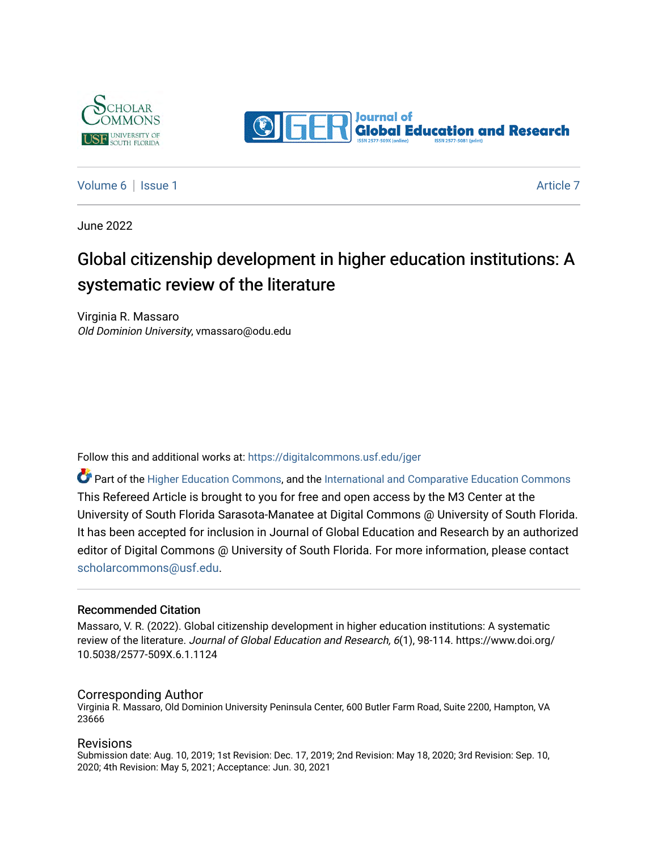



[Volume 6](https://digitalcommons.usf.edu/jger/vol6) | [Issue 1](https://digitalcommons.usf.edu/jger/vol6/iss1) [Article 7](https://digitalcommons.usf.edu/jger/vol6/iss1/7) Article 7 Article 7 Article 7 Article 7 Article 7 Article 7 Article 7 Article 7 Article 7

June 2022

# Global citizenship development in higher education institutions: A systematic review of the literature

Virginia R. Massaro Old Dominion University, vmassaro@odu.edu

Follow this and additional works at: [https://digitalcommons.usf.edu/jger](https://digitalcommons.usf.edu/jger?utm_source=digitalcommons.usf.edu%2Fjger%2Fvol6%2Fiss1%2F7&utm_medium=PDF&utm_campaign=PDFCoverPages) 

**C** Part of the [Higher Education Commons,](http://network.bepress.com/hgg/discipline/1245?utm_source=digitalcommons.usf.edu%2Fjger%2Fvol6%2Fiss1%2F7&utm_medium=PDF&utm_campaign=PDFCoverPages) and the [International and Comparative Education Commons](http://network.bepress.com/hgg/discipline/797?utm_source=digitalcommons.usf.edu%2Fjger%2Fvol6%2Fiss1%2F7&utm_medium=PDF&utm_campaign=PDFCoverPages) This Refereed Article is brought to you for free and open access by the M3 Center at the University of South Florida Sarasota-Manatee at Digital Commons @ University of South Florida. It has been accepted for inclusion in Journal of Global Education and Research by an authorized editor of Digital Commons @ University of South Florida. For more information, please contact [scholarcommons@usf.edu.](mailto:scholarcommons@usf.edu)

#### Recommended Citation

Massaro, V. R. (2022). Global citizenship development in higher education institutions: A systematic review of the literature. Journal of Global Education and Research, 6(1), 98-114. https://www.doi.org/ 10.5038/2577-509X.6.1.1124

#### Corresponding Author

Virginia R. Massaro, Old Dominion University Peninsula Center, 600 Butler Farm Road, Suite 2200, Hampton, VA 23666

#### Revisions

Submission date: Aug. 10, 2019; 1st Revision: Dec. 17, 2019; 2nd Revision: May 18, 2020; 3rd Revision: Sep. 10, 2020; 4th Revision: May 5, 2021; Acceptance: Jun. 30, 2021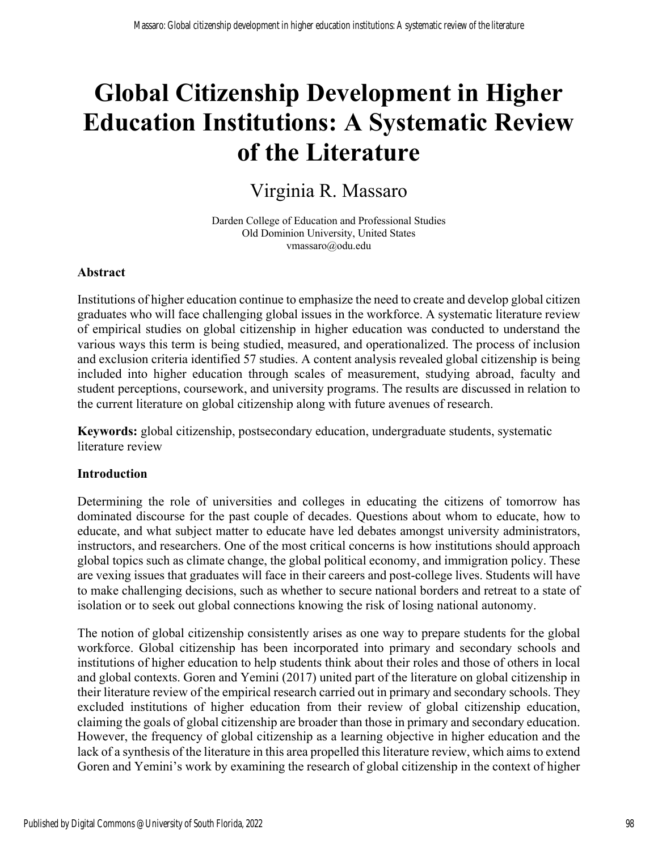# **Global Citizenship Development in Higher Education Institutions: A Systematic Review of the Literature**

# Virginia R. Massaro

Darden College of Education and Professional Studies Old Dominion University, United States vmassaro@odu.edu

## **Abstract**

Institutions of higher education continue to emphasize the need to create and develop global citizen graduates who will face challenging global issues in the workforce. A systematic literature review of empirical studies on global citizenship in higher education was conducted to understand the various ways this term is being studied, measured, and operationalized. The process of inclusion and exclusion criteria identified 57 studies. A content analysis revealed global citizenship is being included into higher education through scales of measurement, studying abroad, faculty and student perceptions, coursework, and university programs. The results are discussed in relation to the current literature on global citizenship along with future avenues of research.

**Keywords:** global citizenship, postsecondary education, undergraduate students, systematic literature review

#### **Introduction**

Determining the role of universities and colleges in educating the citizens of tomorrow has dominated discourse for the past couple of decades. Questions about whom to educate, how to educate, and what subject matter to educate have led debates amongst university administrators, instructors, and researchers. One of the most critical concerns is how institutions should approach global topics such as climate change, the global political economy, and immigration policy. These are vexing issues that graduates will face in their careers and post-college lives. Students will have to make challenging decisions, such as whether to secure national borders and retreat to a state of isolation or to seek out global connections knowing the risk of losing national autonomy.

The notion of global citizenship consistently arises as one way to prepare students for the global workforce. Global citizenship has been incorporated into primary and secondary schools and institutions of higher education to help students think about their roles and those of others in local and global contexts. Goren and Yemini (2017) united part of the literature on global citizenship in their literature review of the empirical research carried out in primary and secondary schools. They excluded institutions of higher education from their review of global citizenship education, claiming the goals of global citizenship are broader than those in primary and secondary education. However, the frequency of global citizenship as a learning objective in higher education and the lack of a synthesis of the literature in this area propelled this literature review, which aims to extend Goren and Yemini's work by examining the research of global citizenship in the context of higher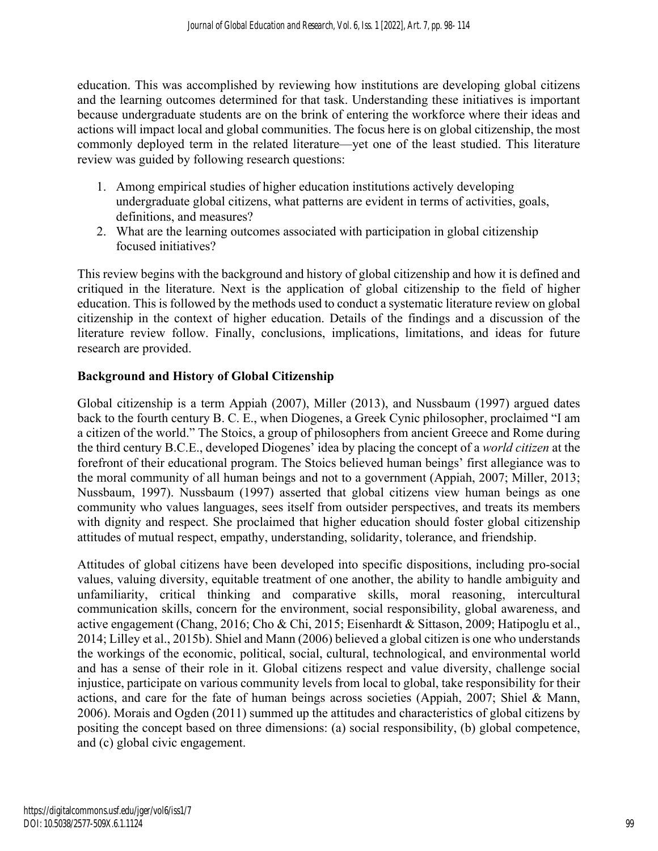education. This was accomplished by reviewing how institutions are developing global citizens and the learning outcomes determined for that task. Understanding these initiatives is important because undergraduate students are on the brink of entering the workforce where their ideas and actions will impact local and global communities. The focus here is on global citizenship, the most commonly deployed term in the related literature—yet one of the least studied. This literature review was guided by following research questions:

- 1. Among empirical studies of higher education institutions actively developing undergraduate global citizens, what patterns are evident in terms of activities, goals, definitions, and measures?
- 2. What are the learning outcomes associated with participation in global citizenship focused initiatives?

This review begins with the background and history of global citizenship and how it is defined and critiqued in the literature. Next is the application of global citizenship to the field of higher education. This is followed by the methods used to conduct a systematic literature review on global citizenship in the context of higher education. Details of the findings and a discussion of the literature review follow. Finally, conclusions, implications, limitations, and ideas for future research are provided.

#### **Background and History of Global Citizenship**

Global citizenship is a term Appiah (2007), Miller (2013), and Nussbaum (1997) argued dates back to the fourth century B. C. E., when Diogenes, a Greek Cynic philosopher, proclaimed "I am a citizen of the world." The Stoics, a group of philosophers from ancient Greece and Rome during the third century B.C.E., developed Diogenes' idea by placing the concept of a *world citizen* at the forefront of their educational program. The Stoics believed human beings' first allegiance was to the moral community of all human beings and not to a government (Appiah, 2007; Miller, 2013; Nussbaum, 1997). Nussbaum (1997) asserted that global citizens view human beings as one community who values languages, sees itself from outsider perspectives, and treats its members with dignity and respect. She proclaimed that higher education should foster global citizenship attitudes of mutual respect, empathy, understanding, solidarity, tolerance, and friendship.

Attitudes of global citizens have been developed into specific dispositions, including pro-social values, valuing diversity, equitable treatment of one another, the ability to handle ambiguity and unfamiliarity, critical thinking and comparative skills, moral reasoning, intercultural communication skills, concern for the environment, social responsibility, global awareness, and active engagement (Chang, 2016; Cho & Chi, 2015; Eisenhardt & Sittason, 2009; Hatipoglu et al., 2014; Lilley et al., 2015b). Shiel and Mann (2006) believed a global citizen is one who understands the workings of the economic, political, social, cultural, technological, and environmental world and has a sense of their role in it. Global citizens respect and value diversity, challenge social injustice, participate on various community levels from local to global, take responsibility for their actions, and care for the fate of human beings across societies (Appiah, 2007; Shiel & Mann, 2006). Morais and Ogden (2011) summed up the attitudes and characteristics of global citizens by positing the concept based on three dimensions: (a) social responsibility, (b) global competence, and (c) global civic engagement.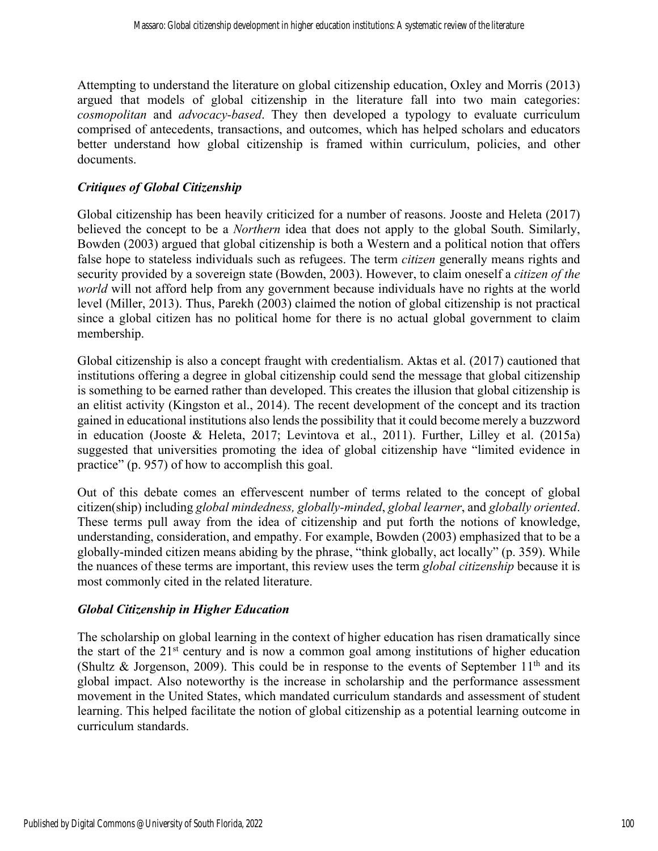Attempting to understand the literature on global citizenship education, Oxley and Morris (2013) argued that models of global citizenship in the literature fall into two main categories: *cosmopolitan* and *advocacy-based*. They then developed a typology to evaluate curriculum comprised of antecedents, transactions, and outcomes, which has helped scholars and educators better understand how global citizenship is framed within curriculum, policies, and other documents.

#### *Critiques of Global Citizenship*

Global citizenship has been heavily criticized for a number of reasons. Jooste and Heleta (2017) believed the concept to be a *Northern* idea that does not apply to the global South. Similarly, Bowden (2003) argued that global citizenship is both a Western and a political notion that offers false hope to stateless individuals such as refugees. The term *citizen* generally means rights and security provided by a sovereign state (Bowden, 2003). However, to claim oneself a *citizen of the world* will not afford help from any government because individuals have no rights at the world level (Miller, 2013). Thus, Parekh (2003) claimed the notion of global citizenship is not practical since a global citizen has no political home for there is no actual global government to claim membership.

Global citizenship is also a concept fraught with credentialism. Aktas et al. (2017) cautioned that institutions offering a degree in global citizenship could send the message that global citizenship is something to be earned rather than developed. This creates the illusion that global citizenship is an elitist activity (Kingston et al., 2014). The recent development of the concept and its traction gained in educational institutions also lends the possibility that it could become merely a buzzword in education (Jooste & Heleta, 2017; Levintova et al., 2011). Further, Lilley et al. (2015a) suggested that universities promoting the idea of global citizenship have "limited evidence in practice" (p. 957) of how to accomplish this goal.

Out of this debate comes an effervescent number of terms related to the concept of global citizen(ship) including *global mindedness, globally-minded*, *global learner*, and *globally oriented*. These terms pull away from the idea of citizenship and put forth the notions of knowledge, understanding, consideration, and empathy. For example, Bowden (2003) emphasized that to be a globally-minded citizen means abiding by the phrase, "think globally, act locally" (p. 359). While the nuances of these terms are important, this review uses the term *global citizenship* because it is most commonly cited in the related literature.

#### *Global Citizenship in Higher Education*

The scholarship on global learning in the context of higher education has risen dramatically since the start of the 21st century and is now a common goal among institutions of higher education (Shultz & Jorgenson, 2009). This could be in response to the events of September  $11<sup>th</sup>$  and its global impact. Also noteworthy is the increase in scholarship and the performance assessment movement in the United States, which mandated curriculum standards and assessment of student learning. This helped facilitate the notion of global citizenship as a potential learning outcome in curriculum standards.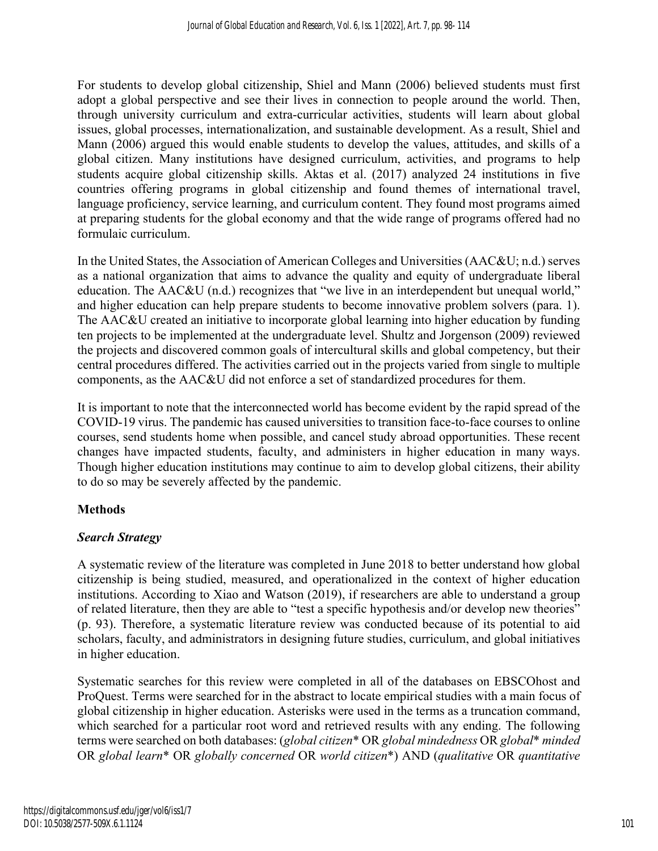For students to develop global citizenship, Shiel and Mann (2006) believed students must first adopt a global perspective and see their lives in connection to people around the world. Then, through university curriculum and extra-curricular activities, students will learn about global issues, global processes, internationalization, and sustainable development. As a result, Shiel and Mann (2006) argued this would enable students to develop the values, attitudes, and skills of a global citizen. Many institutions have designed curriculum, activities, and programs to help students acquire global citizenship skills. Aktas et al. (2017) analyzed 24 institutions in five countries offering programs in global citizenship and found themes of international travel, language proficiency, service learning, and curriculum content. They found most programs aimed at preparing students for the global economy and that the wide range of programs offered had no formulaic curriculum.

In the United States, the Association of American Colleges and Universities (AAC&U; n.d.) serves as a national organization that aims to advance the quality and equity of undergraduate liberal education. The AAC&U (n.d.) recognizes that "we live in an interdependent but unequal world," and higher education can help prepare students to become innovative problem solvers (para. 1). The AAC&U created an initiative to incorporate global learning into higher education by funding ten projects to be implemented at the undergraduate level. Shultz and Jorgenson (2009) reviewed the projects and discovered common goals of intercultural skills and global competency, but their central procedures differed. The activities carried out in the projects varied from single to multiple components, as the AAC&U did not enforce a set of standardized procedures for them.

It is important to note that the interconnected world has become evident by the rapid spread of the COVID-19 virus. The pandemic has caused universities to transition face-to-face courses to online courses, send students home when possible, and cancel study abroad opportunities. These recent changes have impacted students, faculty, and administers in higher education in many ways. Though higher education institutions may continue to aim to develop global citizens, their ability to do so may be severely affected by the pandemic.

# **Methods**

# *Search Strategy*

A systematic review of the literature was completed in June 2018 to better understand how global citizenship is being studied, measured, and operationalized in the context of higher education institutions. According to Xiao and Watson (2019), if researchers are able to understand a group of related literature, then they are able to "test a specific hypothesis and/or develop new theories" (p. 93). Therefore, a systematic literature review was conducted because of its potential to aid scholars, faculty, and administrators in designing future studies, curriculum, and global initiatives in higher education.

Systematic searches for this review were completed in all of the databases on EBSCOhost and ProQuest. Terms were searched for in the abstract to locate empirical studies with a main focus of global citizenship in higher education. Asterisks were used in the terms as a truncation command, which searched for a particular root word and retrieved results with any ending. The following terms were searched on both databases: (*global citizen*\* OR *global mindedness* OR *global*\* *minded* OR *global learn*\* OR *globally concerned* OR *world citizen*\*) AND (*qualitative* OR *quantitative*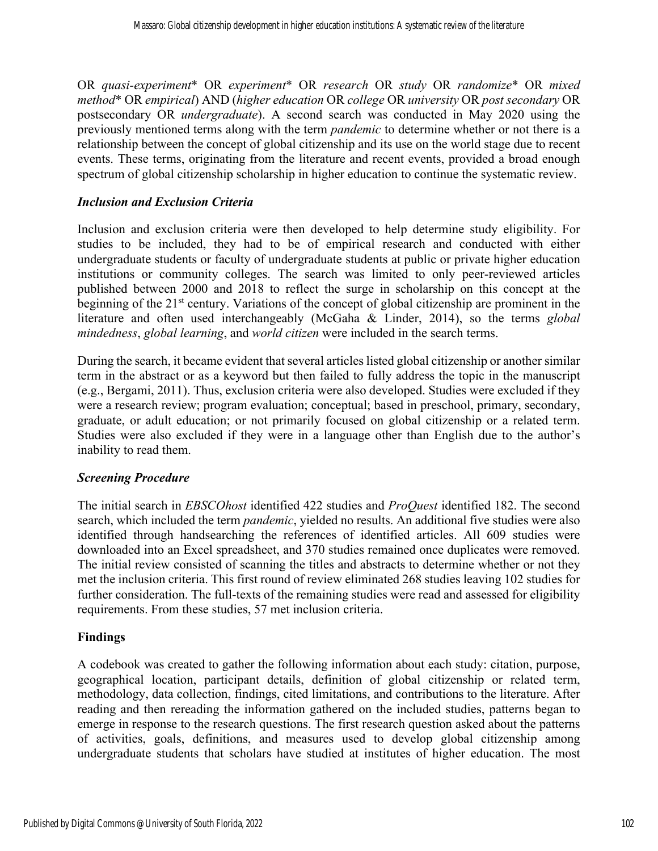OR *quasi-experiment*\* OR *experiment*\* OR *research* OR *study* OR *randomize*\* OR *mixed method*\* OR *empirical*) AND (*higher education* OR *college* OR *university* OR *post secondary* OR postsecondary OR *undergraduate*). A second search was conducted in May 2020 using the previously mentioned terms along with the term *pandemic* to determine whether or not there is a relationship between the concept of global citizenship and its use on the world stage due to recent events. These terms, originating from the literature and recent events, provided a broad enough spectrum of global citizenship scholarship in higher education to continue the systematic review.

#### *Inclusion and Exclusion Criteria*

Inclusion and exclusion criteria were then developed to help determine study eligibility. For studies to be included, they had to be of empirical research and conducted with either undergraduate students or faculty of undergraduate students at public or private higher education institutions or community colleges. The search was limited to only peer-reviewed articles published between 2000 and 2018 to reflect the surge in scholarship on this concept at the beginning of the 21<sup>st</sup> century. Variations of the concept of global citizenship are prominent in the literature and often used interchangeably (McGaha & Linder, 2014), so the terms *global mindedness*, *global learning*, and *world citizen* were included in the search terms.

During the search, it became evident that several articles listed global citizenship or another similar term in the abstract or as a keyword but then failed to fully address the topic in the manuscript (e.g., Bergami, 2011). Thus, exclusion criteria were also developed. Studies were excluded if they were a research review; program evaluation; conceptual; based in preschool, primary, secondary, graduate, or adult education; or not primarily focused on global citizenship or a related term. Studies were also excluded if they were in a language other than English due to the author's inability to read them.

#### *Screening Procedure*

The initial search in *EBSCOhost* identified 422 studies and *ProQuest* identified 182. The second search, which included the term *pandemic*, yielded no results. An additional five studies were also identified through handsearching the references of identified articles. All 609 studies were downloaded into an Excel spreadsheet, and 370 studies remained once duplicates were removed. The initial review consisted of scanning the titles and abstracts to determine whether or not they met the inclusion criteria. This first round of review eliminated 268 studies leaving 102 studies for further consideration. The full-texts of the remaining studies were read and assessed for eligibility requirements. From these studies, 57 met inclusion criteria.

#### **Findings**

A codebook was created to gather the following information about each study: citation, purpose, geographical location, participant details, definition of global citizenship or related term, methodology, data collection, findings, cited limitations, and contributions to the literature. After reading and then rereading the information gathered on the included studies, patterns began to emerge in response to the research questions. The first research question asked about the patterns of activities, goals, definitions, and measures used to develop global citizenship among undergraduate students that scholars have studied at institutes of higher education. The most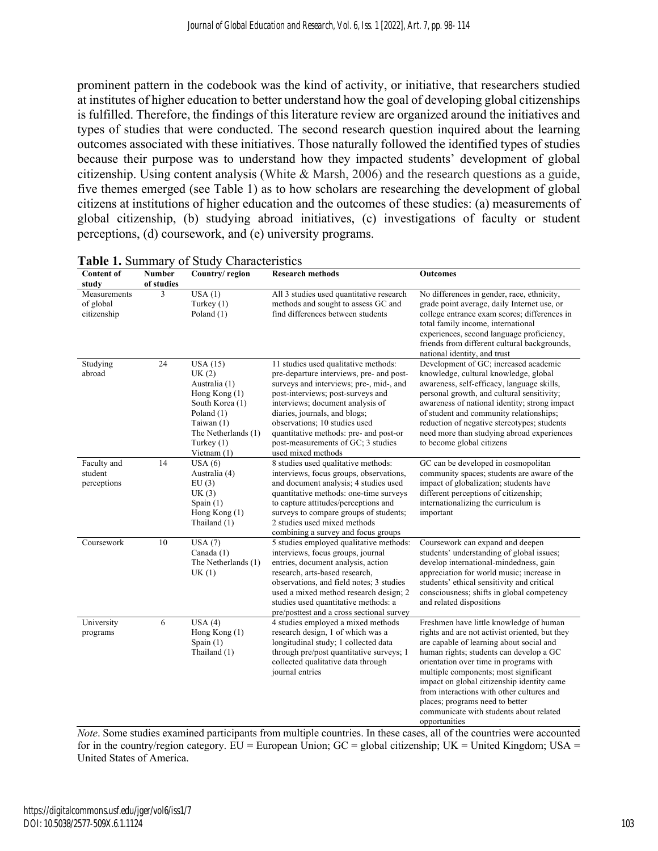prominent pattern in the codebook was the kind of activity, or initiative, that researchers studied at institutes of higher education to better understand how the goal of developing global citizenships is fulfilled. Therefore, the findings of this literature review are organized around the initiatives and types of studies that were conducted. The second research question inquired about the learning outcomes associated with these initiatives. Those naturally followed the identified types of studies because their purpose was to understand how they impacted students' development of global citizenship. Using content analysis (White & Marsh, 2006) and the research questions as a guide, five themes emerged (see Table 1) as to how scholars are researching the development of global citizens at institutions of higher education and the outcomes of these studies: (a) measurements of global citizenship, (b) studying abroad initiatives, (c) investigations of faculty or student perceptions, (d) coursework, and (e) university programs.

| <b>Content of</b><br>study               | Number<br>of studies | Country/region                                                                                                                                                | <b>Research methods</b>                                                                                                                                                                                                                                                                                                                                                      | <b>Outcomes</b>                                                                                                                                                                                                                                                                                                                                                                                                                                               |
|------------------------------------------|----------------------|---------------------------------------------------------------------------------------------------------------------------------------------------------------|------------------------------------------------------------------------------------------------------------------------------------------------------------------------------------------------------------------------------------------------------------------------------------------------------------------------------------------------------------------------------|---------------------------------------------------------------------------------------------------------------------------------------------------------------------------------------------------------------------------------------------------------------------------------------------------------------------------------------------------------------------------------------------------------------------------------------------------------------|
| Measurements<br>of global<br>citizenship | 3                    | USA(1)<br>Turkey $(1)$<br>Poland (1)                                                                                                                          | All 3 studies used quantitative research<br>methods and sought to assess GC and<br>find differences between students                                                                                                                                                                                                                                                         | No differences in gender, race, ethnicity,<br>grade point average, daily Internet use, or<br>college entrance exam scores; differences in<br>total family income, international<br>experiences, second language proficiency,<br>friends from different cultural backgrounds,<br>national identity, and trust                                                                                                                                                  |
| Studying<br>abroad                       | 24                   | USA(15)<br>UK(2)<br>Australia (1)<br>Hong Kong $(1)$<br>South Korea (1)<br>Poland (1)<br>Taiwan $(1)$<br>The Netherlands (1)<br>Turkey $(1)$<br>Vietnam $(1)$ | 11 studies used qualitative methods:<br>pre-departure interviews, pre- and post-<br>surveys and interviews; pre-, mid-, and<br>post-interviews; post-surveys and<br>interviews; document analysis of<br>diaries, journals, and blogs;<br>observations; 10 studies used<br>quantitative methods: pre- and post-or<br>post-measurements of GC; 3 studies<br>used mixed methods | Development of GC; increased academic<br>knowledge, cultural knowledge, global<br>awareness, self-efficacy, language skills,<br>personal growth, and cultural sensitivity;<br>awareness of national identity; strong impact<br>of student and community relationships;<br>reduction of negative stereotypes; students<br>need more than studying abroad experiences<br>to become global citizens                                                              |
| Faculty and<br>student<br>perceptions    | 14                   | USA(6)<br>Australia (4)<br>EU(3)<br>UK(3)<br>Spain $(1)$<br>Hong Kong (1)<br>Thailand (1)                                                                     | 8 studies used qualitative methods:<br>interviews, focus groups, observations,<br>and document analysis; 4 studies used<br>quantitative methods: one-time surveys<br>to capture attitudes/perceptions and<br>surveys to compare groups of students;<br>2 studies used mixed methods<br>combining a survey and focus groups                                                   | GC can be developed in cosmopolitan<br>community spaces; students are aware of the<br>impact of globalization; students have<br>different perceptions of citizenship;<br>internationalizing the curriculum is<br>important                                                                                                                                                                                                                                    |
| Coursework                               | 10                   | USA(7)<br>Canada (1)<br>The Netherlands (1)<br>UK(1)                                                                                                          | 5 studies employed qualitative methods:<br>interviews, focus groups, journal<br>entries, document analysis, action<br>research, arts-based research,<br>observations, and field notes; 3 studies<br>used a mixed method research design; 2<br>studies used quantitative methods: a<br>pre/posttest and a cross sectional survey                                              | Coursework can expand and deepen<br>students' understanding of global issues;<br>develop international-mindedness, gain<br>appreciation for world music; increase in<br>students' ethical sensitivity and critical<br>consciousness; shifts in global competency<br>and related dispositions                                                                                                                                                                  |
| University<br>programs                   | 6                    | USA(4)<br>Hong Kong (1)<br>Spain $(1)$<br>Thailand (1)                                                                                                        | 4 studies employed a mixed methods<br>research design, 1 of which was a<br>longitudinal study; 1 collected data<br>through pre/post quantitative surveys; 1<br>collected qualitative data through<br>journal entries                                                                                                                                                         | Freshmen have little knowledge of human<br>rights and are not activist oriented, but they<br>are capable of learning about social and<br>human rights; students can develop a GC<br>orientation over time in programs with<br>multiple components; most significant<br>impact on global citizenship identity came<br>from interactions with other cultures and<br>places; programs need to better<br>communicate with students about related<br>opportunities |

|  |  |  | Table 1. Summary of Study Characteristics |
|--|--|--|-------------------------------------------|
|--|--|--|-------------------------------------------|

*Note*. Some studies examined participants from multiple countries. In these cases, all of the countries were accounted for in the country/region category.  $EU = European Union$ ;  $GC = global$  citizenship;  $UK = United Kingdom$ ;  $USA =$ United States of America.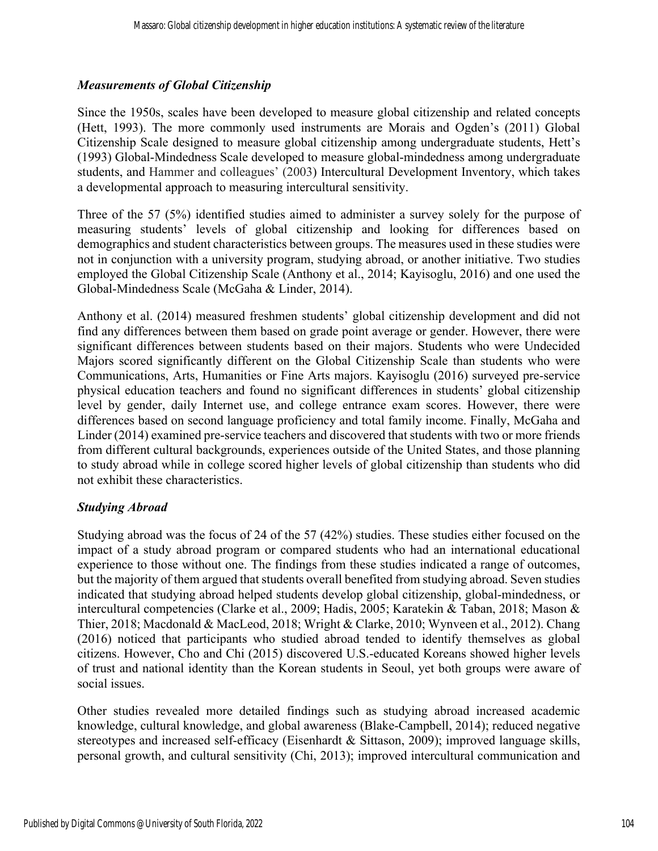#### *Measurements of Global Citizenship*

Since the 1950s, scales have been developed to measure global citizenship and related concepts (Hett, 1993). The more commonly used instruments are Morais and Ogden's (2011) Global Citizenship Scale designed to measure global citizenship among undergraduate students, Hett's (1993) Global-Mindedness Scale developed to measure global-mindedness among undergraduate students, and Hammer and colleagues' (2003) Intercultural Development Inventory, which takes a developmental approach to measuring intercultural sensitivity.

Three of the 57 (5%) identified studies aimed to administer a survey solely for the purpose of measuring students' levels of global citizenship and looking for differences based on demographics and student characteristics between groups. The measures used in these studies were not in conjunction with a university program, studying abroad, or another initiative. Two studies employed the Global Citizenship Scale (Anthony et al., 2014; Kayisoglu, 2016) and one used the Global-Mindedness Scale (McGaha & Linder, 2014).

Anthony et al. (2014) measured freshmen students' global citizenship development and did not find any differences between them based on grade point average or gender. However, there were significant differences between students based on their majors. Students who were Undecided Majors scored significantly different on the Global Citizenship Scale than students who were Communications, Arts, Humanities or Fine Arts majors. Kayisoglu (2016) surveyed pre-service physical education teachers and found no significant differences in students' global citizenship level by gender, daily Internet use, and college entrance exam scores. However, there were differences based on second language proficiency and total family income. Finally, McGaha and Linder (2014) examined pre-service teachers and discovered that students with two or more friends from different cultural backgrounds, experiences outside of the United States, and those planning to study abroad while in college scored higher levels of global citizenship than students who did not exhibit these characteristics.

#### *Studying Abroad*

Studying abroad was the focus of 24 of the 57 (42%) studies. These studies either focused on the impact of a study abroad program or compared students who had an international educational experience to those without one. The findings from these studies indicated a range of outcomes, but the majority of them argued that students overall benefited from studying abroad. Seven studies indicated that studying abroad helped students develop global citizenship, global-mindedness, or intercultural competencies (Clarke et al., 2009; Hadis, 2005; Karatekin & Taban, 2018; Mason & Thier, 2018; Macdonald & MacLeod, 2018; Wright & Clarke, 2010; Wynveen et al., 2012). Chang (2016) noticed that participants who studied abroad tended to identify themselves as global citizens. However, Cho and Chi (2015) discovered U.S.-educated Koreans showed higher levels of trust and national identity than the Korean students in Seoul, yet both groups were aware of social issues.

Other studies revealed more detailed findings such as studying abroad increased academic knowledge, cultural knowledge, and global awareness (Blake-Campbell, 2014); reduced negative stereotypes and increased self-efficacy (Eisenhardt & Sittason, 2009); improved language skills, personal growth, and cultural sensitivity (Chi, 2013); improved intercultural communication and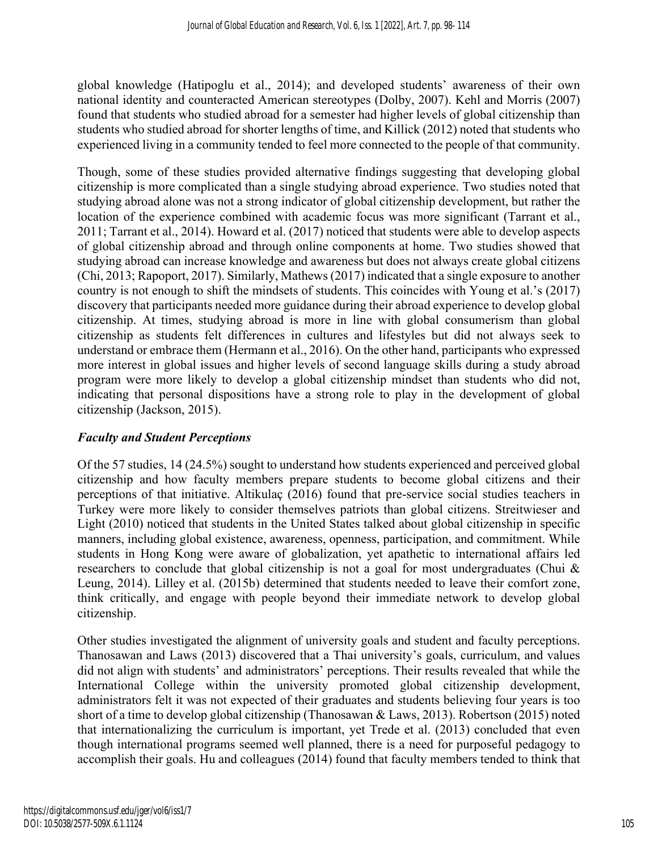global knowledge (Hatipoglu et al., 2014); and developed students' awareness of their own national identity and counteracted American stereotypes (Dolby, 2007). Kehl and Morris (2007) found that students who studied abroad for a semester had higher levels of global citizenship than students who studied abroad for shorter lengths of time, and Killick (2012) noted that students who experienced living in a community tended to feel more connected to the people of that community.

Though, some of these studies provided alternative findings suggesting that developing global citizenship is more complicated than a single studying abroad experience. Two studies noted that studying abroad alone was not a strong indicator of global citizenship development, but rather the location of the experience combined with academic focus was more significant (Tarrant et al., 2011; Tarrant et al., 2014). Howard et al. (2017) noticed that students were able to develop aspects of global citizenship abroad and through online components at home. Two studies showed that studying abroad can increase knowledge and awareness but does not always create global citizens (Chi, 2013; Rapoport, 2017). Similarly, Mathews (2017) indicated that a single exposure to another country is not enough to shift the mindsets of students. This coincides with Young et al.'s (2017) discovery that participants needed more guidance during their abroad experience to develop global citizenship. At times, studying abroad is more in line with global consumerism than global citizenship as students felt differences in cultures and lifestyles but did not always seek to understand or embrace them (Hermann et al., 2016). On the other hand, participants who expressed more interest in global issues and higher levels of second language skills during a study abroad program were more likely to develop a global citizenship mindset than students who did not, indicating that personal dispositions have a strong role to play in the development of global citizenship (Jackson, 2015).

#### *Faculty and Student Perceptions*

Of the 57 studies, 14 (24.5%) sought to understand how students experienced and perceived global citizenship and how faculty members prepare students to become global citizens and their perceptions of that initiative. Altikulaç (2016) found that pre-service social studies teachers in Turkey were more likely to consider themselves patriots than global citizens. Streitwieser and Light (2010) noticed that students in the United States talked about global citizenship in specific manners, including global existence, awareness, openness, participation, and commitment. While students in Hong Kong were aware of globalization, yet apathetic to international affairs led researchers to conclude that global citizenship is not a goal for most undergraduates (Chui & Leung, 2014). Lilley et al. (2015b) determined that students needed to leave their comfort zone, think critically, and engage with people beyond their immediate network to develop global citizenship.

Other studies investigated the alignment of university goals and student and faculty perceptions. Thanosawan and Laws (2013) discovered that a Thai university's goals, curriculum, and values did not align with students' and administrators' perceptions. Their results revealed that while the International College within the university promoted global citizenship development, administrators felt it was not expected of their graduates and students believing four years is too short of a time to develop global citizenship (Thanosawan & Laws, 2013). Robertson (2015) noted that internationalizing the curriculum is important, yet Trede et al. (2013) concluded that even though international programs seemed well planned, there is a need for purposeful pedagogy to accomplish their goals. Hu and colleagues (2014) found that faculty members tended to think that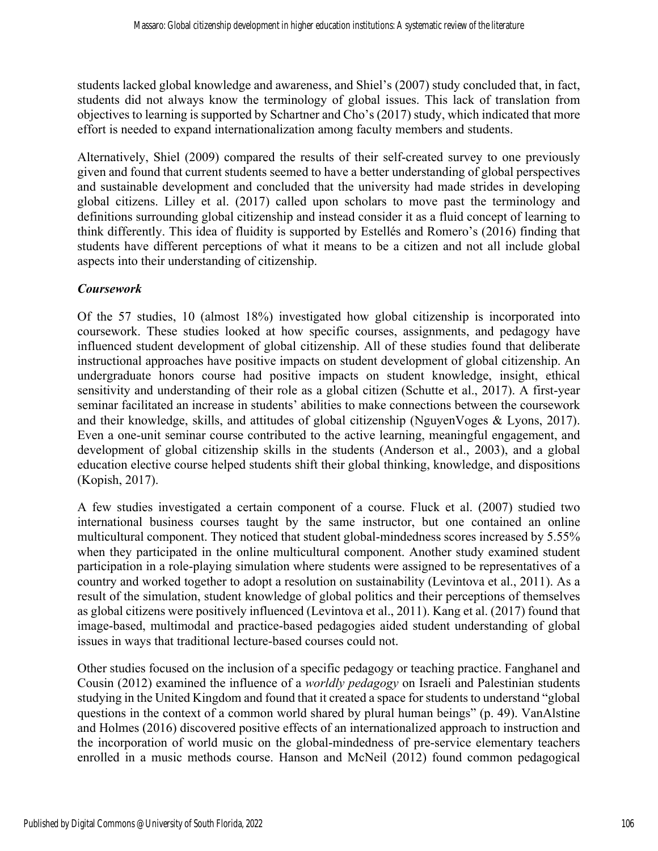students lacked global knowledge and awareness, and Shiel's (2007) study concluded that, in fact, students did not always know the terminology of global issues. This lack of translation from objectives to learning is supported by Schartner and Cho's (2017) study, which indicated that more effort is needed to expand internationalization among faculty members and students.

Alternatively, Shiel (2009) compared the results of their self-created survey to one previously given and found that current students seemed to have a better understanding of global perspectives and sustainable development and concluded that the university had made strides in developing global citizens. Lilley et al. (2017) called upon scholars to move past the terminology and definitions surrounding global citizenship and instead consider it as a fluid concept of learning to think differently. This idea of fluidity is supported by Estellés and Romero's (2016) finding that students have different perceptions of what it means to be a citizen and not all include global aspects into their understanding of citizenship.

## *Coursework*

Of the 57 studies, 10 (almost 18%) investigated how global citizenship is incorporated into coursework. These studies looked at how specific courses, assignments, and pedagogy have influenced student development of global citizenship. All of these studies found that deliberate instructional approaches have positive impacts on student development of global citizenship. An undergraduate honors course had positive impacts on student knowledge, insight, ethical sensitivity and understanding of their role as a global citizen (Schutte et al., 2017). A first-year seminar facilitated an increase in students' abilities to make connections between the coursework and their knowledge, skills, and attitudes of global citizenship (NguyenVoges & Lyons, 2017). Even a one-unit seminar course contributed to the active learning, meaningful engagement, and development of global citizenship skills in the students (Anderson et al., 2003), and a global education elective course helped students shift their global thinking, knowledge, and dispositions (Kopish, 2017).

A few studies investigated a certain component of a course. Fluck et al. (2007) studied two international business courses taught by the same instructor, but one contained an online multicultural component. They noticed that student global-mindedness scores increased by 5.55% when they participated in the online multicultural component. Another study examined student participation in a role-playing simulation where students were assigned to be representatives of a country and worked together to adopt a resolution on sustainability (Levintova et al., 2011). As a result of the simulation, student knowledge of global politics and their perceptions of themselves as global citizens were positively influenced (Levintova et al., 2011). Kang et al. (2017) found that image-based, multimodal and practice-based pedagogies aided student understanding of global issues in ways that traditional lecture-based courses could not.

Other studies focused on the inclusion of a specific pedagogy or teaching practice. Fanghanel and Cousin (2012) examined the influence of a *worldly pedagogy* on Israeli and Palestinian students studying in the United Kingdom and found that it created a space for students to understand "global questions in the context of a common world shared by plural human beings" (p. 49). VanAlstine and Holmes (2016) discovered positive effects of an internationalized approach to instruction and the incorporation of world music on the global-mindedness of pre-service elementary teachers enrolled in a music methods course. Hanson and McNeil (2012) found common pedagogical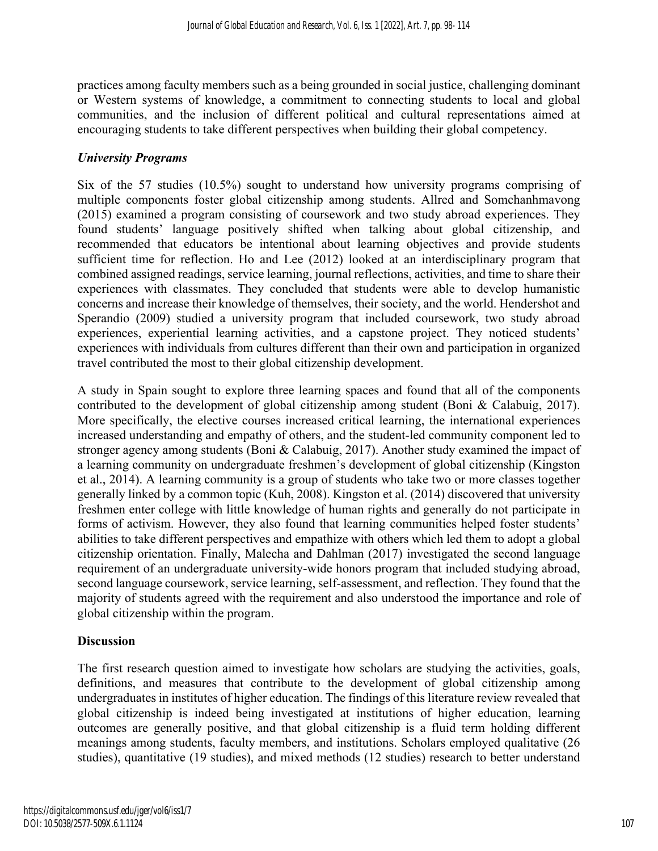practices among faculty members such as a being grounded in social justice, challenging dominant or Western systems of knowledge, a commitment to connecting students to local and global communities, and the inclusion of different political and cultural representations aimed at encouraging students to take different perspectives when building their global competency.

#### *University Programs*

Six of the 57 studies (10.5%) sought to understand how university programs comprising of multiple components foster global citizenship among students. Allred and Somchanhmavong (2015) examined a program consisting of coursework and two study abroad experiences. They found students' language positively shifted when talking about global citizenship, and recommended that educators be intentional about learning objectives and provide students sufficient time for reflection. Ho and Lee (2012) looked at an interdisciplinary program that combined assigned readings, service learning, journal reflections, activities, and time to share their experiences with classmates. They concluded that students were able to develop humanistic concerns and increase their knowledge of themselves, their society, and the world. Hendershot and Sperandio (2009) studied a university program that included coursework, two study abroad experiences, experiential learning activities, and a capstone project. They noticed students' experiences with individuals from cultures different than their own and participation in organized travel contributed the most to their global citizenship development.

A study in Spain sought to explore three learning spaces and found that all of the components contributed to the development of global citizenship among student (Boni & Calabuig, 2017). More specifically, the elective courses increased critical learning, the international experiences increased understanding and empathy of others, and the student-led community component led to stronger agency among students (Boni & Calabuig, 2017). Another study examined the impact of a learning community on undergraduate freshmen's development of global citizenship (Kingston et al., 2014). A learning community is a group of students who take two or more classes together generally linked by a common topic (Kuh, 2008). Kingston et al. (2014) discovered that university freshmen enter college with little knowledge of human rights and generally do not participate in forms of activism. However, they also found that learning communities helped foster students' abilities to take different perspectives and empathize with others which led them to adopt a global citizenship orientation. Finally, Malecha and Dahlman (2017) investigated the second language requirement of an undergraduate university-wide honors program that included studying abroad, second language coursework, service learning, self-assessment, and reflection. They found that the majority of students agreed with the requirement and also understood the importance and role of global citizenship within the program.

#### **Discussion**

The first research question aimed to investigate how scholars are studying the activities, goals, definitions, and measures that contribute to the development of global citizenship among undergraduates in institutes of higher education. The findings of this literature review revealed that global citizenship is indeed being investigated at institutions of higher education, learning outcomes are generally positive, and that global citizenship is a fluid term holding different meanings among students, faculty members, and institutions. Scholars employed qualitative (26 studies), quantitative (19 studies), and mixed methods (12 studies) research to better understand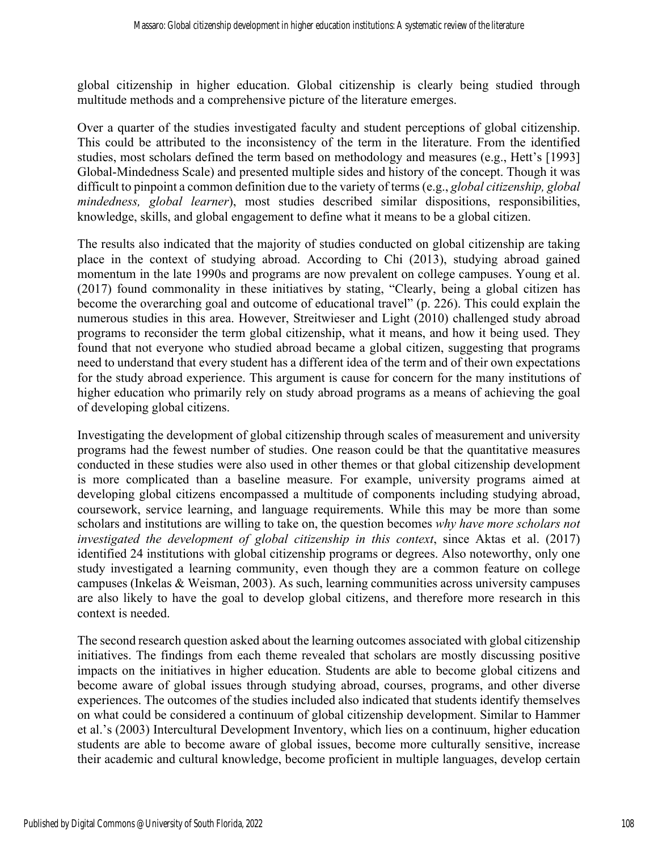global citizenship in higher education. Global citizenship is clearly being studied through multitude methods and a comprehensive picture of the literature emerges.

Over a quarter of the studies investigated faculty and student perceptions of global citizenship. This could be attributed to the inconsistency of the term in the literature. From the identified studies, most scholars defined the term based on methodology and measures (e.g., Hett's [1993] Global-Mindedness Scale) and presented multiple sides and history of the concept. Though it was difficult to pinpoint a common definition due to the variety of terms (e.g., *global citizenship, global mindedness, global learner*), most studies described similar dispositions, responsibilities, knowledge, skills, and global engagement to define what it means to be a global citizen.

The results also indicated that the majority of studies conducted on global citizenship are taking place in the context of studying abroad. According to Chi (2013), studying abroad gained momentum in the late 1990s and programs are now prevalent on college campuses. Young et al. (2017) found commonality in these initiatives by stating, "Clearly, being a global citizen has become the overarching goal and outcome of educational travel" (p. 226). This could explain the numerous studies in this area. However, Streitwieser and Light (2010) challenged study abroad programs to reconsider the term global citizenship, what it means, and how it being used. They found that not everyone who studied abroad became a global citizen, suggesting that programs need to understand that every student has a different idea of the term and of their own expectations for the study abroad experience. This argument is cause for concern for the many institutions of higher education who primarily rely on study abroad programs as a means of achieving the goal of developing global citizens.

Investigating the development of global citizenship through scales of measurement and university programs had the fewest number of studies. One reason could be that the quantitative measures conducted in these studies were also used in other themes or that global citizenship development is more complicated than a baseline measure. For example, university programs aimed at developing global citizens encompassed a multitude of components including studying abroad, coursework, service learning, and language requirements. While this may be more than some scholars and institutions are willing to take on, the question becomes *why have more scholars not investigated the development of global citizenship in this context*, since Aktas et al. (2017) identified 24 institutions with global citizenship programs or degrees. Also noteworthy, only one study investigated a learning community, even though they are a common feature on college campuses (Inkelas & Weisman, 2003). As such, learning communities across university campuses are also likely to have the goal to develop global citizens, and therefore more research in this context is needed.

The second research question asked about the learning outcomes associated with global citizenship initiatives. The findings from each theme revealed that scholars are mostly discussing positive impacts on the initiatives in higher education. Students are able to become global citizens and become aware of global issues through studying abroad, courses, programs, and other diverse experiences. The outcomes of the studies included also indicated that students identify themselves on what could be considered a continuum of global citizenship development. Similar to Hammer et al.'s (2003) Intercultural Development Inventory, which lies on a continuum, higher education students are able to become aware of global issues, become more culturally sensitive, increase their academic and cultural knowledge, become proficient in multiple languages, develop certain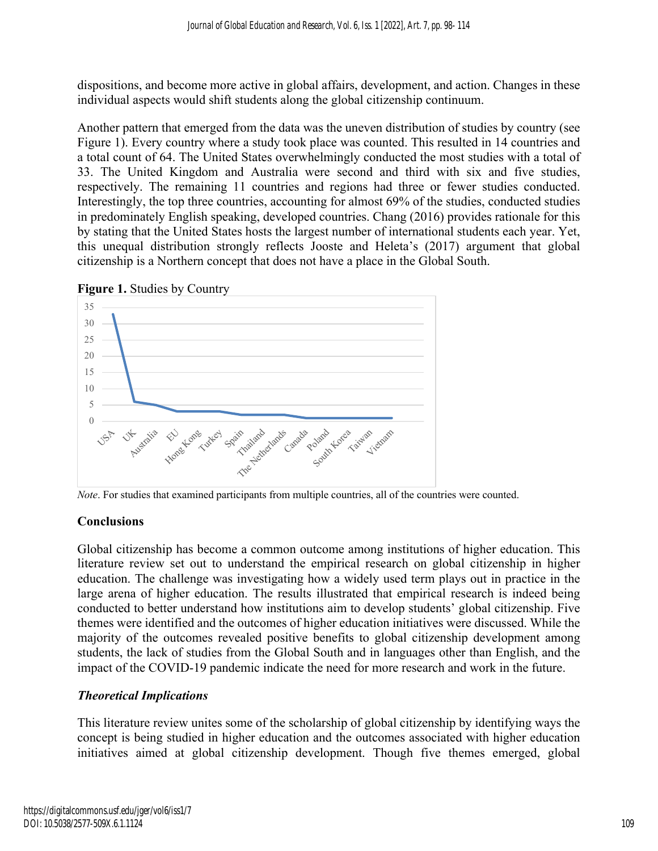dispositions, and become more active in global affairs, development, and action. Changes in these individual aspects would shift students along the global citizenship continuum.

Another pattern that emerged from the data was the uneven distribution of studies by country (see Figure 1). Every country where a study took place was counted. This resulted in 14 countries and a total count of 64. The United States overwhelmingly conducted the most studies with a total of 33. The United Kingdom and Australia were second and third with six and five studies, respectively. The remaining 11 countries and regions had three or fewer studies conducted. Interestingly, the top three countries, accounting for almost 69% of the studies, conducted studies in predominately English speaking, developed countries. Chang (2016) provides rationale for this by stating that the United States hosts the largest number of international students each year. Yet, this unequal distribution strongly reflects Jooste and Heleta's (2017) argument that global citizenship is a Northern concept that does not have a place in the Global South.





*Note*. For studies that examined participants from multiple countries, all of the countries were counted.

#### **Conclusions**

Global citizenship has become a common outcome among institutions of higher education. This literature review set out to understand the empirical research on global citizenship in higher education. The challenge was investigating how a widely used term plays out in practice in the large arena of higher education. The results illustrated that empirical research is indeed being conducted to better understand how institutions aim to develop students' global citizenship. Five themes were identified and the outcomes of higher education initiatives were discussed. While the majority of the outcomes revealed positive benefits to global citizenship development among students, the lack of studies from the Global South and in languages other than English, and the impact of the COVID-19 pandemic indicate the need for more research and work in the future.

#### *Theoretical Implications*

This literature review unites some of the scholarship of global citizenship by identifying ways the concept is being studied in higher education and the outcomes associated with higher education initiatives aimed at global citizenship development. Though five themes emerged, global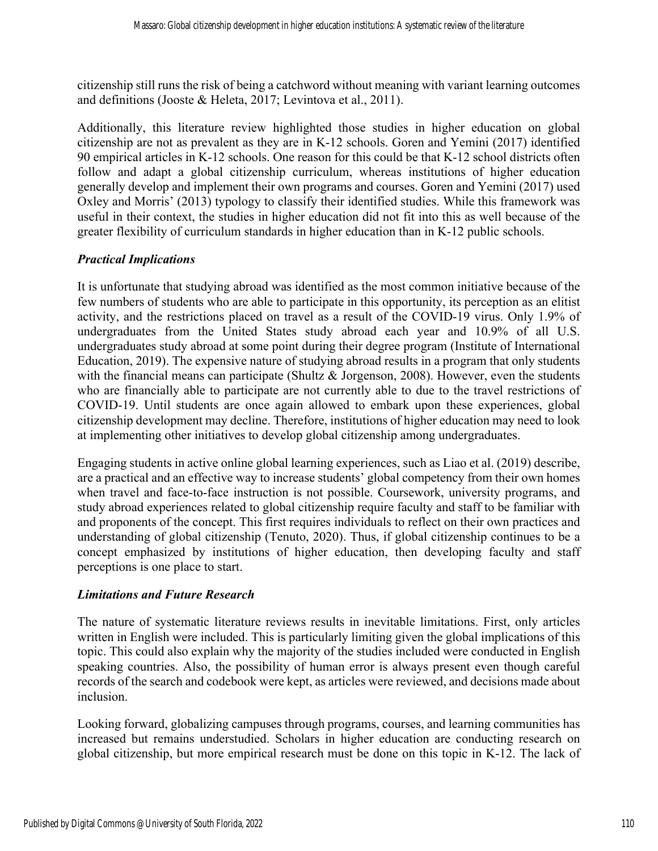citizenship still runs the risk of being a catchword without meaning with variant learning outcomes and definitions (Jooste & Heleta, 2017; Levintova et al., 2011).

Additionally, this literature review highlighted those studies in higher education on global citizenship are not as prevalent as they are in K-12 schools. Goren and Yemini (2017) identified 90 empirical articles in K-12 schools. One reason for this could be that K-12 school districts often follow and adapt a global citizenship curriculum, whereas institutions of higher education generally develop and implement their own programs and courses. Goren and Yemini (2017) used Oxley and Morris' (2013) typology to classify their identified studies. While this framework was useful in their context, the studies in higher education did not fit into this as well because of the greater flexibility of curriculum standards in higher education than in K-12 public schools.

## *Practical Implications*

It is unfortunate that studying abroad was identified as the most common initiative because of the few numbers of students who are able to participate in this opportunity, its perception as an elitist activity, and the restrictions placed on travel as a result of the COVID-19 virus. Only 1.9% of undergraduates from the United States study abroad each year and 10.9% of all U.S. undergraduates study abroad at some point during their degree program (Institute of International Education, 2019). The expensive nature of studying abroad results in a program that only students with the financial means can participate (Shultz & Jorgenson, 2008). However, even the students who are financially able to participate are not currently able to due to the travel restrictions of COVID-19. Until students are once again allowed to embark upon these experiences, global citizenship development may decline. Therefore, institutions of higher education may need to look at implementing other initiatives to develop global citizenship among undergraduates.

Engaging students in active online global learning experiences, such as Liao et al. (2019) describe, are a practical and an effective way to increase students' global competency from their own homes when travel and face-to-face instruction is not possible. Coursework, university programs, and study abroad experiences related to global citizenship require faculty and staff to be familiar with and proponents of the concept. This first requires individuals to reflect on their own practices and understanding of global citizenship (Tenuto, 2020). Thus, if global citizenship continues to be a concept emphasized by institutions of higher education, then developing faculty and staff perceptions is one place to start.

#### *Limitations and Future Research*

The nature of systematic literature reviews results in inevitable limitations. First, only articles written in English were included. This is particularly limiting given the global implications of this topic. This could also explain why the majority of the studies included were conducted in English speaking countries. Also, the possibility of human error is always present even though careful records of the search and codebook were kept, as articles were reviewed, and decisions made about inclusion.

Looking forward, globalizing campuses through programs, courses, and learning communities has increased but remains understudied. Scholars in higher education are conducting research on global citizenship, but more empirical research must be done on this topic in K-12. The lack of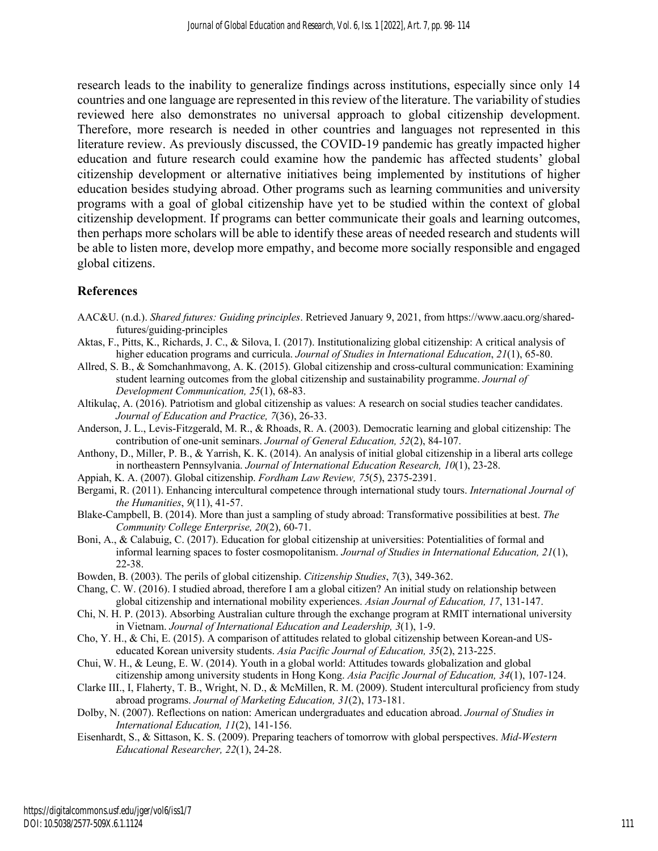research leads to the inability to generalize findings across institutions, especially since only 14 countries and one language are represented in this review of the literature. The variability of studies reviewed here also demonstrates no universal approach to global citizenship development. Therefore, more research is needed in other countries and languages not represented in this literature review. As previously discussed, the COVID-19 pandemic has greatly impacted higher education and future research could examine how the pandemic has affected students' global citizenship development or alternative initiatives being implemented by institutions of higher education besides studying abroad. Other programs such as learning communities and university programs with a goal of global citizenship have yet to be studied within the context of global citizenship development. If programs can better communicate their goals and learning outcomes, then perhaps more scholars will be able to identify these areas of needed research and students will be able to listen more, develop more empathy, and become more socially responsible and engaged global citizens.

#### **References**

- AAC&U. (n.d.). *Shared futures: Guiding principles*. Retrieved January 9, 2021, from https://www.aacu.org/sharedfutures/guiding-principles
- Aktas, F., Pitts, K., Richards, J. C., & Silova, I. (2017). Institutionalizing global citizenship: A critical analysis of higher education programs and curricula. *Journal of Studies in International Education*, *21*(1), 65-80.
- Allred, S. B., & Somchanhmavong, A. K. (2015). Global citizenship and cross-cultural communication: Examining student learning outcomes from the global citizenship and sustainability programme. *Journal of Development Communication, 25*(1), 68-83.
- Altikulaç, A. (2016). Patriotism and global citizenship as values: A research on social studies teacher candidates. *Journal of Education and Practice, 7*(36), 26-33.
- Anderson, J. L., Levis-Fitzgerald, M. R., & Rhoads, R. A. (2003). Democratic learning and global citizenship: The contribution of one-unit seminars. *Journal of General Education, 52*(2), 84-107.
- Anthony, D., Miller, P. B., & Yarrish, K. K. (2014). An analysis of initial global citizenship in a liberal arts college in northeastern Pennsylvania. *Journal of International Education Research, 10*(1), 23-28.
- Appiah, K. A. (2007). Global citizenship. *Fordham Law Review, 75*(5), 2375-2391.
- Bergami, R. (2011). Enhancing intercultural competence through international study tours. *International Journal of the Humanities*, *9*(11), 41-57.
- Blake-Campbell, B. (2014). More than just a sampling of study abroad: Transformative possibilities at best. *The Community College Enterprise, 20*(2), 60-71.
- Boni, A., & Calabuig, C. (2017). Education for global citizenship at universities: Potentialities of formal and informal learning spaces to foster cosmopolitanism. *Journal of Studies in International Education, 21*(1), 22-38.
- Bowden, B. (2003). The perils of global citizenship. *Citizenship Studies*, *7*(3), 349-362.
- Chang, C. W. (2016). I studied abroad, therefore I am a global citizen? An initial study on relationship between global citizenship and international mobility experiences. *Asian Journal of Education, 17*, 131-147.
- Chi, N. H. P. (2013). Absorbing Australian culture through the exchange program at RMIT international university in Vietnam. *Journal of International Education and Leadership, 3*(1), 1-9.
- Cho, Y. H., & Chi, E. (2015). A comparison of attitudes related to global citizenship between Korean-and USeducated Korean university students. *Asia Pacific Journal of Education, 35*(2), 213-225.
- Chui, W. H., & Leung, E. W. (2014). Youth in a global world: Attitudes towards globalization and global citizenship among university students in Hong Kong. *Asia Pacific Journal of Education, 34*(1), 107-124.
- Clarke III., I, Flaherty, T. B., Wright, N. D., & McMillen, R. M. (2009). Student intercultural proficiency from study abroad programs. *Journal of Marketing Education, 31*(2), 173-181.
- Dolby, N. (2007). Reflections on nation: American undergraduates and education abroad. *Journal of Studies in International Education, 11*(2), 141-156.
- Eisenhardt, S., & Sittason, K. S. (2009). Preparing teachers of tomorrow with global perspectives. *Mid-Western Educational Researcher, 22*(1), 24-28.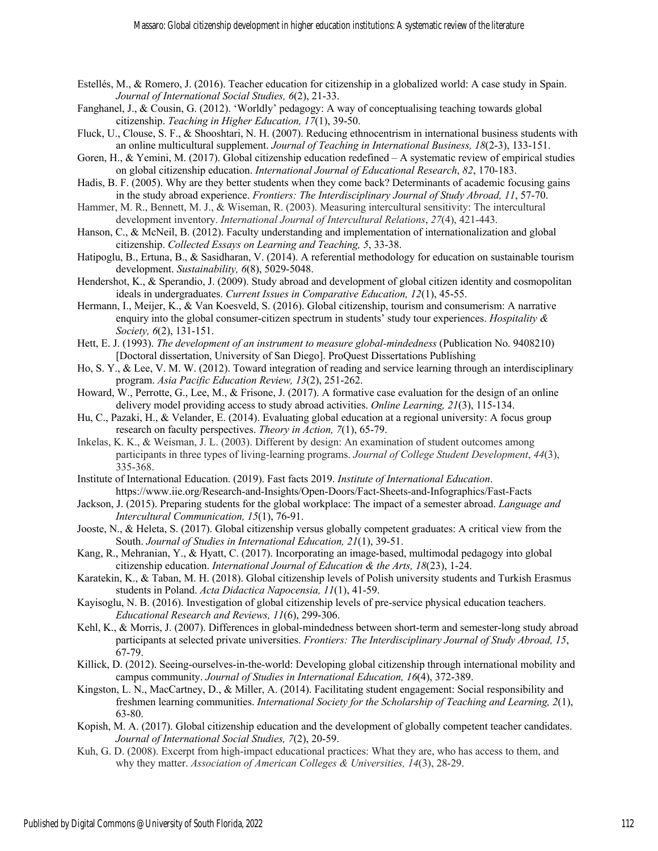- Estellés, M., & Romero, J. (2016). Teacher education for citizenship in a globalized world: A case study in Spain. *Journal of International Social Studies, 6*(2), 21-33.
- Fanghanel, J., & Cousin, G. (2012). 'Worldly' pedagogy: A way of conceptualising teaching towards global citizenship. *Teaching in Higher Education, 17*(1), 39-50.
- Fluck, U., Clouse, S. F., & Shooshtari, N. H. (2007). Reducing ethnocentrism in international business students with an online multicultural supplement. *Journal of Teaching in International Business, 18*(2-3), 133-151.
- Goren, H., & Yemini, M. (2017). Global citizenship education redefined A systematic review of empirical studies on global citizenship education. *International Journal of Educational Research*, *82*, 170-183.
- Hadis, B. F. (2005). Why are they better students when they come back? Determinants of academic focusing gains in the study abroad experience. *Frontiers: The Interdisciplinary Journal of Study Abroad, 11*, 57-70.
- Hammer, M. R., Bennett, M. J., & Wiseman, R. (2003). Measuring intercultural sensitivity: The intercultural development inventory. *International Journal of Intercultural Relations*, *27*(4), 421-443.
- Hanson, C., & McNeil, B. (2012). Faculty understanding and implementation of internationalization and global citizenship. *Collected Essays on Learning and Teaching, 5*, 33-38.
- Hatipoglu, B., Ertuna, B., & Sasidharan, V. (2014). A referential methodology for education on sustainable tourism development. *Sustainability, 6*(8), 5029-5048.
- Hendershot, K., & Sperandio, J. (2009). Study abroad and development of global citizen identity and cosmopolitan ideals in undergraduates. *Current Issues in Comparative Education, 12*(1), 45-55.
- Hermann, I., Meijer, K., & Van Koesveld, S. (2016). Global citizenship, tourism and consumerism: A narrative enquiry into the global consumer-citizen spectrum in students' study tour experiences. *Hospitality & Society, 6*(2), 131-151.
- Hett, E. J. (1993). *The development of an instrument to measure global-mindedness* (Publication No. 9408210) [Doctoral dissertation, University of San Diego]. ProQuest Dissertations Publishing
- Ho, S. Y., & Lee, V. M. W. (2012). Toward integration of reading and service learning through an interdisciplinary program. *Asia Pacific Education Review, 13*(2), 251-262.
- Howard, W., Perrotte, G., Lee, M., & Frisone, J. (2017). A formative case evaluation for the design of an online delivery model providing access to study abroad activities. *Online Learning, 21*(3), 115-134.
- Hu, C., Pazaki, H., & Velander, E. (2014). Evaluating global education at a regional university: A focus group research on faculty perspectives. *Theory in Action, 7*(1), 65-79.
- Inkelas, K. K., & Weisman, J. L. (2003). Different by design: An examination of student outcomes among participants in three types of living-learning programs. *Journal of College Student Development*, *44*(3), 335-368.
- Institute of International Education. (2019). Fast facts 2019. *Institute of International Education*. https://www.iie.org/Research-and-Insights/Open-Doors/Fact-Sheets-and-Infographics/Fast-Facts
- Jackson, J. (2015). Preparing students for the global workplace: The impact of a semester abroad. *Language and Intercultural Communication, 15*(1), 76-91.
- Jooste, N., & Heleta, S. (2017). Global citizenship versus globally competent graduates: A critical view from the South. *Journal of Studies in International Education, 21*(1), 39-51.
- Kang, R., Mehranian, Y., & Hyatt, C. (2017). Incorporating an image-based, multimodal pedagogy into global citizenship education. *International Journal of Education & the Arts, 18*(23), 1-24.
- Karatekin, K., & Taban, M. H. (2018). Global citizenship levels of Polish university students and Turkish Erasmus students in Poland. *Acta Didactica Napocensia, 11*(1), 41-59.
- Kayisoglu, N. B. (2016). Investigation of global citizenship levels of pre-service physical education teachers. *Educational Research and Reviews, 11*(6), 299-306.
- Kehl, K., & Morris, J. (2007). Differences in global-mindedness between short-term and semester-long study abroad participants at selected private universities. *Frontiers: The Interdisciplinary Journal of Study Abroad, 15*, 67-79.
- Killick, D. (2012). Seeing-ourselves-in-the-world: Developing global citizenship through international mobility and campus community. *Journal of Studies in International Education, 16*(4), 372-389.
- Kingston, L. N., MacCartney, D., & Miller, A. (2014). Facilitating student engagement: Social responsibility and freshmen learning communities. *International Society for the Scholarship of Teaching and Learning, 2*(1), 63-80.
- Kopish, M. A. (2017). Global citizenship education and the development of globally competent teacher candidates. *Journal of International Social Studies, 7*(2), 20-59.
- Kuh, G. D. (2008). Excerpt from high-impact educational practices: What they are, who has access to them, and why they matter. *Association of American Colleges & Universities, 14*(3), 28-29.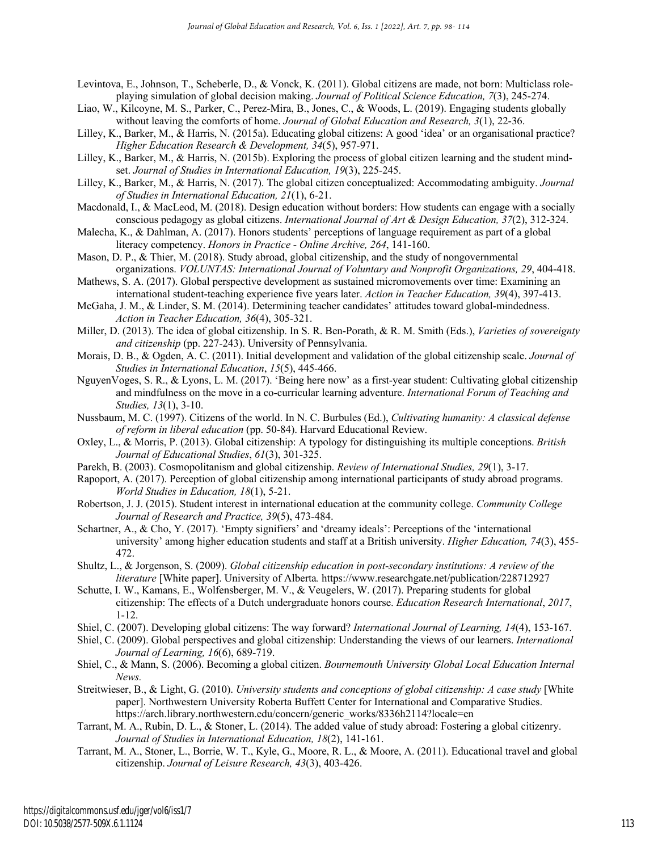- Levintova, E., Johnson, T., Scheberle, D., & Vonck, K. (2011). Global citizens are made, not born: Multiclass roleplaying simulation of global decision making. *Journal of Political Science Education, 7*(3), 245-274.
- Liao, W., Kilcoyne, M. S., Parker, C., Perez-Mira, B., Jones, C., & Woods, L. (2019). Engaging students globally without leaving the comforts of home. *Journal of Global Education and Research, 3*(1), 22-36.
- Lilley, K., Barker, M., & Harris, N. (2015a). Educating global citizens: A good 'idea' or an organisational practice? *Higher Education Research & Development, 34*(5), 957-971.
- Lilley, K., Barker, M., & Harris, N. (2015b). Exploring the process of global citizen learning and the student mindset. *Journal of Studies in International Education, 19*(3), 225-245.
- Lilley, K., Barker, M., & Harris, N. (2017). The global citizen conceptualized: Accommodating ambiguity. *Journal of Studies in International Education, 21*(1), 6-21.
- Macdonald, I., & MacLeod, M. (2018). Design education without borders: How students can engage with a socially conscious pedagogy as global citizens. *International Journal of Art & Design Education, 37*(2), 312-324.
- Malecha, K., & Dahlman, A. (2017). Honors students' perceptions of language requirement as part of a global literacy competency. *Honors in Practice - Online Archive, 264*, 141-160.
- Mason, D. P., & Thier, M. (2018). Study abroad, global citizenship, and the study of nongovernmental organizations. *VOLUNTAS: International Journal of Voluntary and Nonprofit Organizations, 29*, 404-418.
- Mathews, S. A. (2017). Global perspective development as sustained micromovements over time: Examining an international student-teaching experience five years later. *Action in Teacher Education, 39*(4), 397-413.
- McGaha, J. M., & Linder, S. M. (2014). Determining teacher candidates' attitudes toward global-mindedness. *Action in Teacher Education, 36*(4), 305-321.
- Miller, D. (2013). The idea of global citizenship. In S. R. Ben-Porath, & R. M. Smith (Eds.), *Varieties of sovereignty and citizenship* (pp. 227-243). University of Pennsylvania.
- Morais, D. B., & Ogden, A. C. (2011). Initial development and validation of the global citizenship scale. *Journal of Studies in International Education*, *15*(5), 445-466.
- NguyenVoges, S. R., & Lyons, L. M. (2017). 'Being here now' as a first-year student: Cultivating global citizenship and mindfulness on the move in a co-curricular learning adventure. *International Forum of Teaching and Studies, 13*(1), 3-10.
- Nussbaum, M. C. (1997). Citizens of the world. In N. C. Burbules (Ed.), *Cultivating humanity: A classical defense of reform in liberal education* (pp. 50-84). Harvard Educational Review.
- Oxley, L., & Morris, P. (2013). Global citizenship: A typology for distinguishing its multiple conceptions. *British Journal of Educational Studies*, *61*(3), 301-325.
- Parekh, B. (2003). Cosmopolitanism and global citizenship. *Review of International Studies, 29*(1), 3-17.
- Rapoport, A. (2017). Perception of global citizenship among international participants of study abroad programs. *World Studies in Education, 18*(1), 5-21.
- Robertson, J. J. (2015). Student interest in international education at the community college. *Community College Journal of Research and Practice, 39*(5), 473-484.
- Schartner, A., & Cho, Y. (2017). 'Empty signifiers' and 'dreamy ideals': Perceptions of the 'international university' among higher education students and staff at a British university. *Higher Education, 74*(3), 455- 472.
- Shultz, L., & Jorgenson, S. (2009). *Global citizenship education in post-secondary institutions: A review of the literature* [White paper]. University of Alberta*.* https://www.researchgate.net/publication/228712927
- Schutte, I. W., Kamans, E., Wolfensberger, M. V., & Veugelers, W. (2017). Preparing students for global citizenship: The effects of a Dutch undergraduate honors course. *Education Research International*, *2017*, 1-12.
- Shiel, C. (2007). Developing global citizens: The way forward? *International Journal of Learning, 14*(4), 153-167.
- Shiel, C. (2009). Global perspectives and global citizenship: Understanding the views of our learners. *International Journal of Learning, 16*(6), 689-719.
- Shiel, C., & Mann, S. (2006). Becoming a global citizen. *Bournemouth University Global Local Education Internal News.*
- Streitwieser, B., & Light, G. (2010). *University students and conceptions of global citizenship: A case study* [White paper]. Northwestern University Roberta Buffett Center for International and Comparative Studies. https://arch.library.northwestern.edu/concern/generic\_works/8336h2114?locale=en
- Tarrant, M. A., Rubin, D. L., & Stoner, L. (2014). The added value of study abroad: Fostering a global citizenry. *Journal of Studies in International Education, 18*(2), 141-161.
- Tarrant, M. A., Stoner, L., Borrie, W. T., Kyle, G., Moore, R. L., & Moore, A. (2011). Educational travel and global citizenship. *Journal of Leisure Research, 43*(3), 403-426.